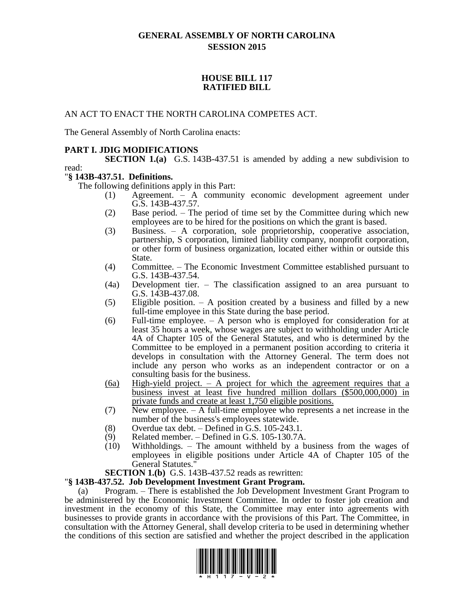# **GENERAL ASSEMBLY OF NORTH CAROLINA SESSION 2015**

## **HOUSE BILL 117 RATIFIED BILL**

## AN ACT TO ENACT THE NORTH CAROLINA COMPETES ACT.

The General Assembly of North Carolina enacts:

# **PART I. JDIG MODIFICATIONS**

**SECTION 1.(a)** G.S. 143B-437.51 is amended by adding a new subdivision to read:

## "**§ 143B-437.51. Definitions.**

The following definitions apply in this Part:

- (1) Agreement. A community economic development agreement under G.S. 143B-437.57.
- (2) Base period. The period of time set by the Committee during which new employees are to be hired for the positions on which the grant is based.
- (3) Business. A corporation, sole proprietorship, cooperative association, partnership, S corporation, limited liability company, nonprofit corporation, or other form of business organization, located either within or outside this State.
- (4) Committee. The Economic Investment Committee established pursuant to G.S. 143B-437.54.
- (4a) Development tier. The classification assigned to an area pursuant to G.S. 143B-437.08.
- (5) Eligible position. A position created by a business and filled by a new full-time employee in this State during the base period.
- (6) Full-time employee. A person who is employed for consideration for at least 35 hours a week, whose wages are subject to withholding under Article 4A of Chapter 105 of the General Statutes, and who is determined by the Committee to be employed in a permanent position according to criteria it develops in consultation with the Attorney General. The term does not include any person who works as an independent contractor or on a consulting basis for the business.
- $(6a)$  High-yield project. A project for which the agreement requires that a business invest at least five hundred million dollars (\$500,000,000) in private funds and create at least 1,750 eligible positions.
- (7) New employee. A full-time employee who represents a net increase in the number of the business's employees statewide.
- (8) Overdue tax debt. Defined in G.S.  $105-243.1$ .<br>(9) Related member. Defined in G.S.  $105-130.7A$
- Related member. Defined in G.S. 105-130.7A.
- (10) Withholdings. The amount withheld by a business from the wages of employees in eligible positions under Article 4A of Chapter 105 of the General Statutes."

**SECTION 1.(b)** G.S. 143B-437.52 reads as rewritten:

### "**§ 143B-437.52. Job Development Investment Grant Program.**

(a) Program. – There is established the Job Development Investment Grant Program to be administered by the Economic Investment Committee. In order to foster job creation and investment in the economy of this State, the Committee may enter into agreements with businesses to provide grants in accordance with the provisions of this Part. The Committee, in consultation with the Attorney General, shall develop criteria to be used in determining whether the conditions of this section are satisfied and whether the project described in the application

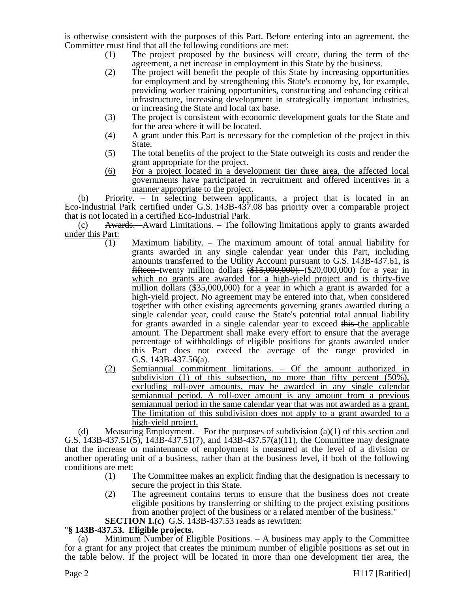is otherwise consistent with the purposes of this Part. Before entering into an agreement, the Committee must find that all the following conditions are met:

- (1) The project proposed by the business will create, during the term of the agreement, a net increase in employment in this State by the business.
- (2) The project will benefit the people of this State by increasing opportunities for employment and by strengthening this State's economy by, for example, providing worker training opportunities, constructing and enhancing critical infrastructure, increasing development in strategically important industries, or increasing the State and local tax base.
- (3) The project is consistent with economic development goals for the State and for the area where it will be located.
- (4) A grant under this Part is necessary for the completion of the project in this State.
- (5) The total benefits of the project to the State outweigh its costs and render the grant appropriate for the project.
- (6) For a project located in a development tier three area, the affected local governments have participated in recruitment and offered incentives in a manner appropriate to the project.

(b) Priority. – In selecting between applicants, a project that is located in an Eco-Industrial Park certified under G.S. 143B-437.08 has priority over a comparable project that is not located in a certified Eco-Industrial Park.

 $(c)$  Awards. –Award Limitations. – The following limitations apply to grants awarded under this Part:

- (1) Maximum liability. The maximum amount of total annual liability for grants awarded in any single calendar year under this Part, including amounts transferred to the Utility Account pursuant to G.S. 143B-437.61, is fifteen twenty million dollars  $\left(\frac{$15,000,000}{1}\right)$ . (\$20,000,000) for a year in which no grants are awarded for a high-yield project and is thirty-five million dollars (\$35,000,000) for a year in which a grant is awarded for a high-yield project. No agreement may be entered into that, when considered together with other existing agreements governing grants awarded during a single calendar year, could cause the State's potential total annual liability for grants awarded in a single calendar year to exceed this the applicable amount. The Department shall make every effort to ensure that the average percentage of withholdings of eligible positions for grants awarded under this Part does not exceed the average of the range provided in G.S. 143B-437.56(a).
- (2) Semiannual commitment limitations. Of the amount authorized in subdivision (1) of this subsection, no more than fifty percent (50%), excluding roll-over amounts, may be awarded in any single calendar semiannual period. A roll-over amount is any amount from a previous semiannual period in the same calendar year that was not awarded as a grant. The limitation of this subdivision does not apply to a grant awarded to a high-yield project.

(d) Measuring Employment. – For the purposes of subdivision  $(a)(1)$  of this section and G.S. 143B-437.51(5), 143B-437.51(7), and 143B-437.57(a)(11), the Committee may designate that the increase or maintenance of employment is measured at the level of a division or another operating unit of a business, rather than at the business level, if both of the following conditions are met:

- (1) The Committee makes an explicit finding that the designation is necessary to secure the project in this State.
- (2) The agreement contains terms to ensure that the business does not create eligible positions by transferring or shifting to the project existing positions from another project of the business or a related member of the business."
- **SECTION 1.(c)** G.S. 143B-437.53 reads as rewritten:

# "**§ 143B-437.53. Eligible projects.**

(a) Minimum Number of Eligible Positions. – A business may apply to the Committee for a grant for any project that creates the minimum number of eligible positions as set out in the table below. If the project will be located in more than one development tier area, the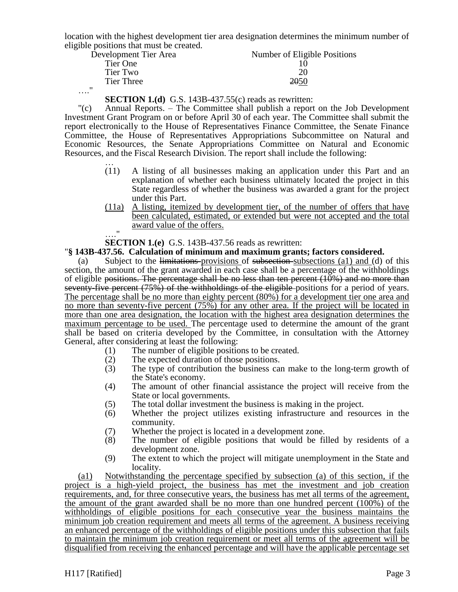location with the highest development tier area designation determines the minimum number of eligible positions that must be created.

| Development Tier Area | Number of Eligible Positions |
|-----------------------|------------------------------|
| Tier One              |                              |
| Tier Two              | 20                           |
| Tier Three            | <b>2050</b>                  |
| "<br>$\cdots$         |                              |

**SECTION 1.(d)** G.S. 143B-437.55(c) reads as rewritten:

"(c) Annual Reports. – The Committee shall publish a report on the Job Development Investment Grant Program on or before April 30 of each year. The Committee shall submit the report electronically to the House of Representatives Finance Committee, the Senate Finance Committee, the House of Representatives Appropriations Subcommittee on Natural and Economic Resources, the Senate Appropriations Committee on Natural and Economic Resources, and the Fiscal Research Division. The report shall include the following:

- … (11) A listing of all businesses making an application under this Part and an explanation of whether each business ultimately located the project in this State regardless of whether the business was awarded a grant for the project under this Part.
- (11a) A listing, itemized by development tier, of the number of offers that have been calculated, estimated, or extended but were not accepted and the total award value of the offers.

…."

**SECTION 1.(e)** G.S. 143B-437.56 reads as rewritten:

## "**§ 143B-437.56. Calculation of minimum and maximum grants; factors considered.**

(a) Subject to the limitations provisions of subsection subsections (a1) and (d) of this section, the amount of the grant awarded in each case shall be a percentage of the withholdings of eligible positions. The percentage shall be no less than ten percent (10%) and no more than seventy-five percent (75%) of the withholdings of the eligible positions for a period of years. The percentage shall be no more than eighty percent (80%) for a development tier one area and no more than seventy-five percent (75%) for any other area. If the project will be located in more than one area designation, the location with the highest area designation determines the maximum percentage to be used. The percentage used to determine the amount of the grant shall be based on criteria developed by the Committee, in consultation with the Attorney General, after considering at least the following:

- (1) The number of eligible positions to be created.
- (2) The expected duration of those positions.
- (3) The type of contribution the business can make to the long-term growth of the State's economy.
- (4) The amount of other financial assistance the project will receive from the State or local governments.
- (5) The total dollar investment the business is making in the project.
- (6) Whether the project utilizes existing infrastructure and resources in the community.
- (7) Whether the project is located in a development zone.
- (8) The number of eligible positions that would be filled by residents of a development zone.
- (9) The extent to which the project will mitigate unemployment in the State and locality.

(a1) Notwithstanding the percentage specified by subsection (a) of this section, if the project is a high-yield project, the business has met the investment and job creation requirements, and, for three consecutive years, the business has met all terms of the agreement, the amount of the grant awarded shall be no more than one hundred percent (100%) of the withholdings of eligible positions for each consecutive year the business maintains the minimum job creation requirement and meets all terms of the agreement. A business receiving an enhanced percentage of the withholdings of eligible positions under this subsection that fails to maintain the minimum job creation requirement or meet all terms of the agreement will be disqualified from receiving the enhanced percentage and will have the applicable percentage set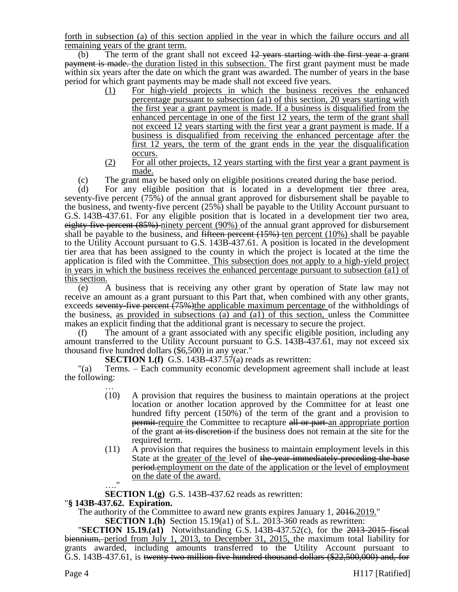forth in subsection (a) of this section applied in the year in which the failure occurs and all remaining years of the grant term.

(b) The term of the grant shall not exceed  $12$  years starting with the first year a grant payment is made. the duration listed in this subsection. The first grant payment must be made within six years after the date on which the grant was awarded. The number of years in the base period for which grant payments may be made shall not exceed five years.

- (1) For high-yield projects in which the business receives the enhanced percentage pursuant to subsection (a1) of this section, 20 years starting with the first year a grant payment is made. If a business is disqualified from the enhanced percentage in one of the first 12 years, the term of the grant shall not exceed 12 years starting with the first year a grant payment is made. If a business is disqualified from receiving the enhanced percentage after the first 12 years, the term of the grant ends in the year the disqualification occurs.
- (2) For all other projects, 12 years starting with the first year a grant payment is made.
- (c) The grant may be based only on eligible positions created during the base period.

(d) For any eligible position that is located in a development tier three area, seventy-five percent (75%) of the annual grant approved for disbursement shall be payable to the business, and twenty-five percent (25%) shall be payable to the Utility Account pursuant to G.S. 143B-437.61. For any eligible position that is located in a development tier two area, eighty-five percent (85%) ninety percent (90%) of the annual grant approved for disbursement shall be payable to the business, and fifteen percent  $(15%)$  ten percent  $(10%)$  shall be payable to the Utility Account pursuant to G.S. 143B-437.61. A position is located in the development tier area that has been assigned to the county in which the project is located at the time the application is filed with the Committee. This subsection does not apply to a high-yield project in years in which the business receives the enhanced percentage pursuant to subsection (a1) of this section.

(e) A business that is receiving any other grant by operation of State law may not receive an amount as a grant pursuant to this Part that, when combined with any other grants, exceeds seventy-five percent (75%)the applicable maximum percentage of the withholdings of the business, as provided in subsections (a) and (a1) of this section, unless the Committee makes an explicit finding that the additional grant is necessary to secure the project.

(f) The amount of a grant associated with any specific eligible position, including any amount transferred to the Utility Account pursuant to G.S. 143B-437.61, may not exceed six thousand five hundred dollars (\$6,500) in any year."

**SECTION 1.(f)** G.S. 143B-437.57(a) reads as rewritten:

"(a) Terms. – Each community economic development agreement shall include at least the following:

- … (10) A provision that requires the business to maintain operations at the project location or another location approved by the Committee for at least one hundred fifty percent (150%) of the term of the grant and a provision to **permit-** require the Committee to recapture all or part-an appropriate portion of the grant at its discretion if the business does not remain at the site for the required term.
- (11) A provision that requires the business to maintain employment levels in this State at the greater of the level of the year immediately preceding the base period.employment on the date of the application or the level of employment on the date of the award.
- …."

**SECTION 1.(g)** G.S. 143B-437.62 reads as rewritten:

# "**§ 143B-437.62. Expiration.**

The authority of the Committee to award new grants expires January 1, 2016.2019."

**SECTION 1.(h)** Section 15.19(a1) of S.L. 2013-360 reads as rewritten:

"**SECTION 15.19.(a1)** Notwithstanding G.S. 143B-437.52(c), for the 2013-2015 fiscal biennium, period from July 1, 2013, to December 31, 2015, the maximum total liability for grants awarded, including amounts transferred to the Utility Account pursuant to G.S. 143B-437.61, is twenty two million five hundred thousand dollars (\$22,500,000) and, for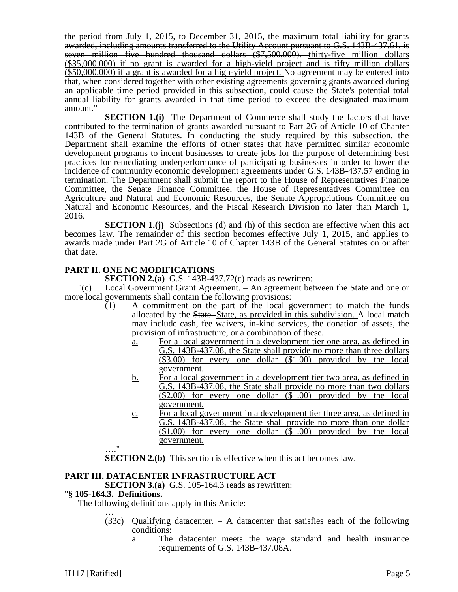the period from July 1, 2015, to December 31, 2015, the maximum total liability for grants awarded, including amounts transferred to the Utility Account pursuant to G.S. 143B-437.61, is seven million five hundred thousand dollars  $(*7,500,000)$ . thirty-five million dollars (\$35,000,000) if no grant is awarded for a high-yield project and is fifty million dollars (\$50,000,000) if a grant is awarded for a high-yield project. No agreement may be entered into that, when considered together with other existing agreements governing grants awarded during an applicable time period provided in this subsection, could cause the State's potential total annual liability for grants awarded in that time period to exceed the designated maximum amount."

**SECTION 1.(i)** The Department of Commerce shall study the factors that have contributed to the termination of grants awarded pursuant to Part 2G of Article 10 of Chapter 143B of the General Statutes. In conducting the study required by this subsection, the Department shall examine the efforts of other states that have permitted similar economic development programs to incent businesses to create jobs for the purpose of determining best practices for remediating underperformance of participating businesses in order to lower the incidence of community economic development agreements under G.S. 143B-437.57 ending in termination. The Department shall submit the report to the House of Representatives Finance Committee, the Senate Finance Committee, the House of Representatives Committee on Agriculture and Natural and Economic Resources, the Senate Appropriations Committee on Natural and Economic Resources, and the Fiscal Research Division no later than March 1, 2016.

**SECTION 1.(j)** Subsections (d) and (h) of this section are effective when this act becomes law. The remainder of this section becomes effective July 1, 2015, and applies to awards made under Part 2G of Article 10 of Chapter 143B of the General Statutes on or after that date.

# **PART II. ONE NC MODIFICATIONS**

**SECTION 2.(a)** G.S. 143B-437.72(c) reads as rewritten:

"(c) Local Government Grant Agreement. – An agreement between the State and one or more local governments shall contain the following provisions:

- (1) A commitment on the part of the local government to match the funds allocated by the State. State, as provided in this subdivision. A local match may include cash, fee waivers, in-kind services, the donation of assets, the provision of infrastructure, or a combination of these.
	- a. For a local government in a development tier one area, as defined in G.S. 143B-437.08, the State shall provide no more than three dollars (\$3.00) for every one dollar (\$1.00) provided by the local government.
	- b. For a local government in a development tier two area, as defined in G.S. 143B-437.08, the State shall provide no more than two dollars (\$2.00) for every one dollar (\$1.00) provided by the local government.
	- c. For a local government in a development tier three area, as defined in G.S. 143B-437.08, the State shall provide no more than one dollar  $($1.00)$  for every one dollar  $($1.00)$  provided by the local government.

**SECTION 2.(b)** This section is effective when this act becomes law.

# **PART III. DATACENTER INFRASTRUCTURE ACT**

**SECTION 3.(a)** G.S. 105-164.3 reads as rewritten:

## "**§ 105-164.3. Definitions.**

…."

The following definitions apply in this Article: …

- $(33c)$  Qualifying datacenter. A datacenter that satisfies each of the following conditions:
	- a. The datacenter meets the wage standard and health insurance requirements of G.S. 143B-437.08A.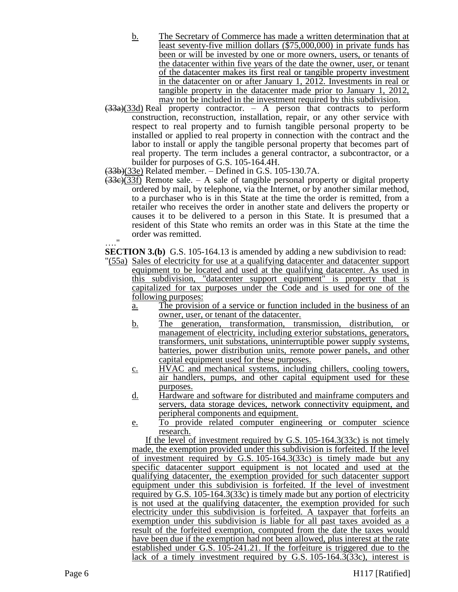- b. The Secretary of Commerce has made a written determination that at least seventy-five million dollars (\$75,000,000) in private funds has been or will be invested by one or more owners, users, or tenants of the datacenter within five years of the date the owner, user, or tenant of the datacenter makes its first real or tangible property investment in the datacenter on or after January 1, 2012. Investments in real or tangible property in the datacenter made prior to January 1, 2012, may not be included in the investment required by this subdivision.
- $\left(\frac{33}{33a}\right)$ (33d) Real property contractor. A person that contracts to perform construction, reconstruction, installation, repair, or any other service with respect to real property and to furnish tangible personal property to be installed or applied to real property in connection with the contract and the labor to install or apply the tangible personal property that becomes part of real property. The term includes a general contractor, a subcontractor, or a builder for purposes of G.S. 105-164.4H.

 $(33b)(33e)$  Related member. – Defined in G.S. 105-130.7A.

 $(33e)(33f)$  Remote sale. – A sale of tangible personal property or digital property ordered by mail, by telephone, via the Internet, or by another similar method, to a purchaser who is in this State at the time the order is remitted, from a retailer who receives the order in another state and delivers the property or causes it to be delivered to a person in this State. It is presumed that a resident of this State who remits an order was in this State at the time the order was remitted.  $^{\bullet}$ 

**SECTION 3.(b)** G.S. 105-164.13 is amended by adding a new subdivision to read:

- "(55a) Sales of electricity for use at a qualifying datacenter and datacenter support equipment to be located and used at the qualifying datacenter. As used in this subdivision, "datacenter support equipment" is property that is capitalized for tax purposes under the Code and is used for one of the following purposes:
	- a. The provision of a service or function included in the business of an owner, user, or tenant of the datacenter.
	- b. The generation, transformation, transmission, distribution, or management of electricity, including exterior substations, generators, transformers, unit substations, uninterruptible power supply systems, batteries, power distribution units, remote power panels, and other capital equipment used for these purposes.
	- c. HVAC and mechanical systems, including chillers, cooling towers, air handlers, pumps, and other capital equipment used for these purposes.
	- d. Hardware and software for distributed and mainframe computers and servers, data storage devices, network connectivity equipment, and peripheral components and equipment.
	- e. To provide related computer engineering or computer science research.

If the level of investment required by G.S. 105-164.3(33c) is not timely made, the exemption provided under this subdivision is forfeited. If the level of investment required by G.S. 105-164.3(33c) is timely made but any specific datacenter support equipment is not located and used at the qualifying datacenter, the exemption provided for such datacenter support equipment under this subdivision is forfeited. If the level of investment required by G.S. 105-164.3(33c) is timely made but any portion of electricity is not used at the qualifying datacenter, the exemption provided for such electricity under this subdivision is forfeited. A taxpayer that forfeits an exemption under this subdivision is liable for all past taxes avoided as a result of the forfeited exemption, computed from the date the taxes would have been due if the exemption had not been allowed, plus interest at the rate established under G.S. 105-241.21. If the forfeiture is triggered due to the lack of a timely investment required by G.S. 105-164.3(33c), interest is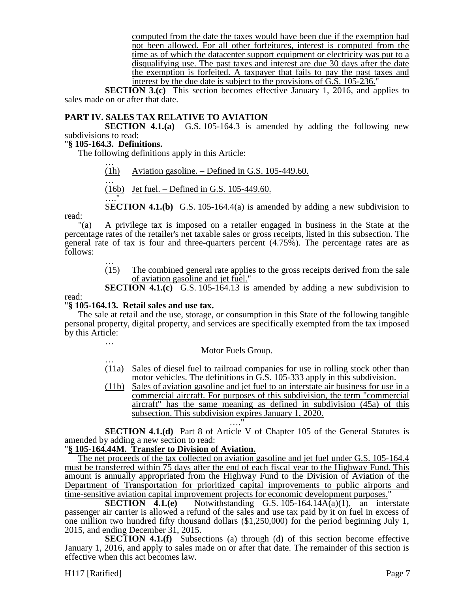computed from the date the taxes would have been due if the exemption had not been allowed. For all other forfeitures, interest is computed from the time as of which the datacenter support equipment or electricity was put to a disqualifying use. The past taxes and interest are due 30 days after the date the exemption is forfeited. A taxpayer that fails to pay the past taxes and interest by the due date is subject to the provisions of G.S. 105-236."

**SECTION 3.(c)** This section becomes effective January 1, 2016, and applies to sales made on or after that date.

## **PART IV. SALES TAX RELATIVE TO AVIATION**

**SECTION 4.1.(a)** G.S. 105-164.3 is amended by adding the following new subdivisions to read:

#### "**§ 105-164.3. Definitions.**

…."

The following definitions apply in this Article:

- … (1h) Aviation gasoline. – Defined in G.S. 105-449.60.
- … (16b) Jet fuel. – Defined in G.S. 105-449.60.
- read:

"(a) A privilege tax is imposed on a retailer engaged in business in the State at the percentage rates of the retailer's net taxable sales or gross receipts, listed in this subsection. The general rate of tax is four and three-quarters percent  $(4.75\%)$ . The percentage rates are as follows:

> … (15) The combined general rate applies to the gross receipts derived from the sale of aviation gasoline and jet fuel."

> S**ECTION 4.1.(b)** G.S. 105-164.4(a) is amended by adding a new subdivision to

**SECTION 4.1.(c)** G.S. 105-164.13 is amended by adding a new subdivision to

read:

### "**§ 105-164.13. Retail sales and use tax.**

The sale at retail and the use, storage, or consumption in this State of the following tangible personal property, digital property, and services are specifically exempted from the tax imposed by this Article:

…

### Motor Fuels Group.

- … (11a) Sales of diesel fuel to railroad companies for use in rolling stock other than motor vehicles. The definitions in G.S. 105-333 apply in this subdivision.
- (11b) Sales of aviation gasoline and jet fuel to an interstate air business for use in a commercial aircraft. For purposes of this subdivision, the term "commercial aircraft" has the same meaning as defined in subdivision (45a) of this subsection. This subdivision expires January 1, 2020.

…." **SECTION 4.1.(d)** Part 8 of Article V of Chapter 105 of the General Statutes is amended by adding a new section to read:

# "**§ 105-164.44M. Transfer to Division of Aviation.**

The net proceeds of the tax collected on aviation gasoline and jet fuel under G.S. 105-164.4 must be transferred within 75 days after the end of each fiscal year to the Highway Fund. This amount is annually appropriated from the Highway Fund to the Division of Aviation of the Department of Transportation for prioritized capital improvements to public airports and time-sensitive aviation capital improvement projects for economic development purposes."

**SECTION 4.1.(e)** Notwithstanding G.S. 105-164.14A(a)(1), an interstate passenger air carrier is allowed a refund of the sales and use tax paid by it on fuel in excess of one million two hundred fifty thousand dollars (\$1,250,000) for the period beginning July 1, 2015, and ending December 31, 2015.

**SECTION 4.1.(f)** Subsections (a) through (d) of this section become effective January 1, 2016, and apply to sales made on or after that date. The remainder of this section is effective when this act becomes law.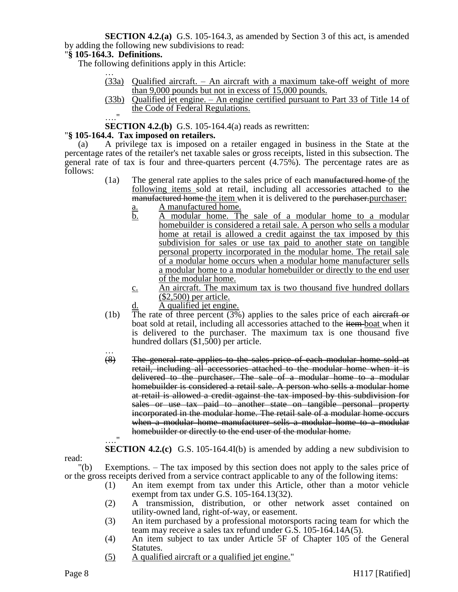**SECTION 4.2.(a)** G.S. 105-164.3, as amended by Section 3 of this act, is amended by adding the following new subdivisions to read:

## "**§ 105-164.3. Definitions.**

The following definitions apply in this Article:

- … (33a) Qualified aircraft. – An aircraft with a maximum take-off weight of more than 9,000 pounds but not in excess of 15,000 pounds.
- (33b) Qualified jet engine. An engine certified pursuant to Part 33 of Title 14 of the Code of Federal Regulations.  $\mathbf{u}$

**SECTION 4.2.(b)** G.S. 105-164.4(a) reads as rewritten:

### "**§ 105-164.4. Tax imposed on retailers.**

(a) A privilege tax is imposed on a retailer engaged in business in the State at the percentage rates of the retailer's net taxable sales or gross receipts, listed in this subsection. The general rate of tax is four and three-quarters percent (4.75%). The percentage rates are as follows:

- (1a) The general rate applies to the sales price of each manufactured home of the following items sold at retail, including all accessories attached to the manufactured home the item when it is delivered to the purchaser. purchaser:
	- a. A manufactured home.
	- b. A modular home. The sale of a modular home to a modular homebuilder is considered a retail sale. A person who sells a modular home at retail is allowed a credit against the tax imposed by this subdivision for sales or use tax paid to another state on tangible personal property incorporated in the modular home. The retail sale of a modular home occurs when a modular home manufacturer sells a modular home to a modular homebuilder or directly to the end user of the modular home.
	- c. An aircraft. The maximum tax is two thousand five hundred dollars (\$2,500) per article.
	- d. A qualified jet engine.
- (1b) The rate of three percent (3%) applies to the sales price of each aircraft or boat sold at retail, including all accessories attached to the item-boat when it is delivered to the purchaser. The maximum tax is one thousand five hundred dollars (\$1,500) per article.
- … (8) The general rate applies to the sales price of each modular home sold at retail, including all accessories attached to the modular home when it is delivered to the purchaser. The sale of a modular home to a modular homebuilder is considered a retail sale. A person who sells a modular home at retail is allowed a credit against the tax imposed by this subdivision for sales or use tax paid to another state on tangible personal property incorporated in the modular home. The retail sale of a modular home occurs when a modular home manufacturer sells a modular home to a modular homebuilder or directly to the end user of the modular home.  $^{\prime\prime}$

**SECTION 4.2.(c)** G.S. 105-164.4I(b) is amended by adding a new subdivision to

read:

"(b) Exemptions. – The tax imposed by this section does not apply to the sales price of or the gross receipts derived from a service contract applicable to any of the following items:

- (1) An item exempt from tax under this Article, other than a motor vehicle exempt from tax under G.S. 105-164.13(32).
- (2) A transmission, distribution, or other network asset contained on utility-owned land, right-of-way, or easement.
- (3) An item purchased by a professional motorsports racing team for which the team may receive a sales tax refund under G.S. 105-164.14A(5).
- (4) An item subject to tax under Article 5F of Chapter 105 of the General Statutes.
- (5) A qualified aircraft or a qualified jet engine."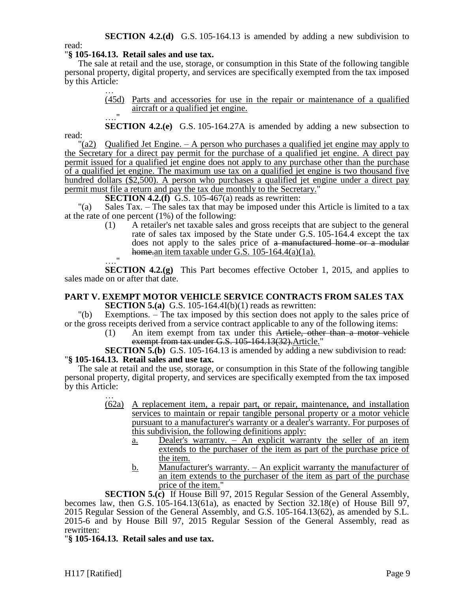**SECTION 4.2.(d)** G.S. 105-164.13 is amended by adding a new subdivision to read:

## "**§ 105-164.13. Retail sales and use tax.**

The sale at retail and the use, storage, or consumption in this State of the following tangible personal property, digital property, and services are specifically exempted from the tax imposed by this Article:

> … (45d) Parts and accessories for use in the repair or maintenance of a qualified aircraft or a qualified jet engine.  $\overline{u}$

**SECTION 4.2.(e)** G.S. 105-164.27A is amended by adding a new subsection to read:

 $\alpha$  Qualified Jet Engine.  $-$  A person who purchases a qualified jet engine may apply to the Secretary for a direct pay permit for the purchase of a qualified jet engine. A direct pay permit issued for a qualified jet engine does not apply to any purchase other than the purchase of a qualified jet engine. The maximum use tax on a qualified jet engine is two thousand five hundred dollars (\$2,500). A person who purchases a qualified jet engine under a direct pay permit must file a return and pay the tax due monthly to the Secretary."

**SECTION 4.2.(f)** G.S. 105-467(a) reads as rewritten:

"(a) Sales Tax. – The sales tax that may be imposed under this Article is limited to a tax at the rate of one percent (1%) of the following:

(1) A retailer's net taxable sales and gross receipts that are subject to the general rate of sales tax imposed by the State under G.S. 105-164.4 except the tax does not apply to the sales price of a manufactured home or a modular home.an item taxable under G.S.  $105-164.4(a)(1a)$ .

…." **SECTION 4.2.(g)** This Part becomes effective October 1, 2015, and applies to sales made on or after that date.

### **PART V. EXEMPT MOTOR VEHICLE SERVICE CONTRACTS FROM SALES TAX SECTION 5.(a)** G.S. 105-164.4I(b)(1) reads as rewritten:

"(b) Exemptions. – The tax imposed by this section does not apply to the sales price of or the gross receipts derived from a service contract applicable to any of the following items:

(1) An item exempt from tax under this Article, other than a motor vehicle exempt from tax under G.S. 105-164.13(32). Article."

**SECTION 5.(b)** G.S. 105-164.13 is amended by adding a new subdivision to read: "**§ 105-164.13. Retail sales and use tax.**

The sale at retail and the use, storage, or consumption in this State of the following tangible personal property, digital property, and services are specifically exempted from the tax imposed by this Article:

- … (62a) A replacement item, a repair part, or repair, maintenance, and installation services to maintain or repair tangible personal property or a motor vehicle pursuant to a manufacturer's warranty or a dealer's warranty. For purposes of this subdivision, the following definitions apply:
	- a. Dealer's warranty. An explicit warranty the seller of an item extends to the purchaser of the item as part of the purchase price of the item.
	- b. Manufacturer's warranty. An explicit warranty the manufacturer of an item extends to the purchaser of the item as part of the purchase price of the item."

**SECTION 5.(c)** If House Bill 97, 2015 Regular Session of the General Assembly, becomes law, then G.S. 105-164.13(61a), as enacted by Section 32.18(e) of House Bill 97, 2015 Regular Session of the General Assembly, and G.S. 105-164.13(62), as amended by S.L. 2015-6 and by House Bill 97, 2015 Regular Session of the General Assembly, read as rewritten:

"**§ 105-164.13. Retail sales and use tax.**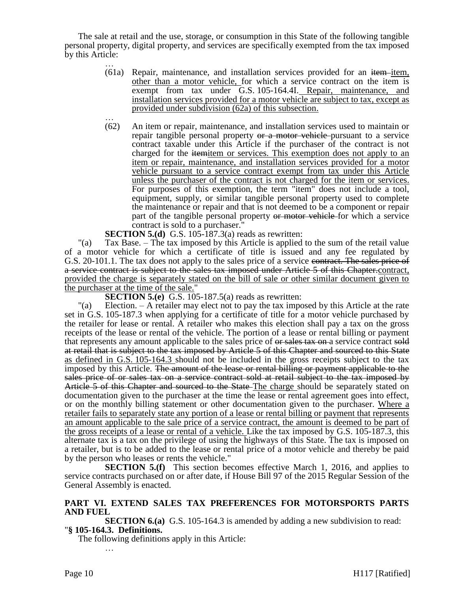The sale at retail and the use, storage, or consumption in this State of the following tangible personal property, digital property, and services are specifically exempted from the tax imposed by this Article:

- …  $(61a)$  Repair, maintenance, and installation services provided for an item-item, other than a motor vehicle, for which a service contract on the item is exempt from tax under G.S. 105-164.4I. Repair, maintenance, and installation services provided for a motor vehicle are subject to tax, except as provided under subdivision (62a) of this subsection.
- … (62) An item or repair, maintenance, and installation services used to maintain or repair tangible personal property or a motor vehicle-pursuant to a service contract taxable under this Article if the purchaser of the contract is not charged for the itemitem or services. This exemption does not apply to an item or repair, maintenance, and installation services provided for a motor vehicle pursuant to a service contract exempt from tax under this Article unless the purchaser of the contract is not charged for the item or services. For purposes of this exemption, the term "item" does not include a tool, equipment, supply, or similar tangible personal property used to complete the maintenance or repair and that is not deemed to be a component or repair part of the tangible personal property or motor vehicle for which a service contract is sold to a purchaser."

**SECTION 5.(d)** G.S. 105-187.3(a) reads as rewritten:

"(a) Tax Base. – The tax imposed by this Article is applied to the sum of the retail value of a motor vehicle for which a certificate of title is issued and any fee regulated by G.S. 20-101.1. The tax does not apply to the sales price of a service contract. The sales price of a service contract is subject to the sales tax imposed under Article 5 of this Chapter.contract, provided the charge is separately stated on the bill of sale or other similar document given to the purchaser at the time of the sale."

**SECTION 5.(e)** G.S. 105-187.5(a) reads as rewritten:

"(a) Election. – A retailer may elect not to pay the tax imposed by this Article at the rate set in G.S. 105-187.3 when applying for a certificate of title for a motor vehicle purchased by the retailer for lease or rental. A retailer who makes this election shall pay a tax on the gross receipts of the lease or rental of the vehicle. The portion of a lease or rental billing or payment that represents any amount applicable to the sales price of  $\theta$  and service contract sold at retail that is subject to the tax imposed by Article 5 of this Chapter and sourced to this State as defined in G.S. 105-164.3 should not be included in the gross receipts subject to the tax imposed by this Article. The amount of the lease or rental billing or payment applicable to the sales price of or sales tax on a service contract sold at retail subject to the tax imposed by Article 5 of this Chapter and sourced to the State–The charge should be separately stated on documentation given to the purchaser at the time the lease or rental agreement goes into effect, or on the monthly billing statement or other documentation given to the purchaser. Where a retailer fails to separately state any portion of a lease or rental billing or payment that represents an amount applicable to the sale price of a service contract, the amount is deemed to be part of the gross receipts of a lease or rental of a vehicle. Like the tax imposed by G.S. 105-187.3, this alternate tax is a tax on the privilege of using the highways of this State. The tax is imposed on a retailer, but is to be added to the lease or rental price of a motor vehicle and thereby be paid by the person who leases or rents the vehicle."

**SECTION 5.(f)** This section becomes effective March 1, 2016, and applies to service contracts purchased on or after date, if House Bill 97 of the 2015 Regular Session of the General Assembly is enacted.

## **PART VI. EXTEND SALES TAX PREFERENCES FOR MOTORSPORTS PARTS AND FUEL**

**SECTION 6.(a)** G.S. 105-164.3 is amended by adding a new subdivision to read: "**§ 105-164.3. Definitions.**

The following definitions apply in this Article:

…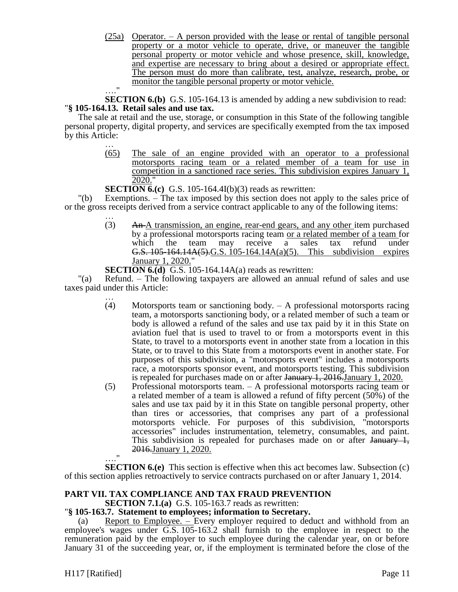(25a) Operator. – A person provided with the lease or rental of tangible personal property or a motor vehicle to operate, drive, or maneuver the tangible personal property or motor vehicle and whose presence, skill, knowledge, and expertise are necessary to bring about a desired or appropriate effect. The person must do more than calibrate, test, analyze, research, probe, or monitor the tangible personal property or motor vehicle.

…." **SECTION 6.(b)** G.S. 105-164.13 is amended by adding a new subdivision to read: "**§ 105-164.13. Retail sales and use tax.**

The sale at retail and the use, storage, or consumption in this State of the following tangible personal property, digital property, and services are specifically exempted from the tax imposed by this Article:

… (65) The sale of an engine provided with an operator to a professional motorsports racing team or a related member of a team for use in competition in a sanctioned race series. This subdivision expires January 1, 2020."

**SECTION 6.(c)** G.S. 105-164.4I(b)(3) reads as rewritten:

"(b) Exemptions. – The tax imposed by this section does not apply to the sales price of or the gross receipts derived from a service contract applicable to any of the following items:

> … (3) An A transmission, an engine, rear-end gears, and any other item purchased by a professional motorsports racing team or a related member of a team for which the team may receive a sales tax refund under G.S. 105-164.14A(5).G.S. 105-164.14A(a)(5). This subdivision expires January 1, 2020."

**SECTION 6.(d)** G.S. 105-164.14A(a) reads as rewritten:

"(a) Refund. – The following taxpayers are allowed an annual refund of sales and use taxes paid under this Article:

- … (4) Motorsports team or sanctioning body. – A professional motorsports racing team, a motorsports sanctioning body, or a related member of such a team or body is allowed a refund of the sales and use tax paid by it in this State on aviation fuel that is used to travel to or from a motorsports event in this State, to travel to a motorsports event in another state from a location in this State, or to travel to this State from a motorsports event in another state. For purposes of this subdivision, a "motorsports event" includes a motorsports race, a motorsports sponsor event, and motorsports testing. This subdivision is repealed for purchases made on or after January 1, 2016.January 1, 2020.
- (5) Professional motorsports team. A professional motorsports racing team or a related member of a team is allowed a refund of fifty percent (50%) of the sales and use tax paid by it in this State on tangible personal property, other than tires or accessories, that comprises any part of a professional motorsports vehicle. For purposes of this subdivision, "motorsports accessories" includes instrumentation, telemetry, consumables, and paint. This subdivision is repealed for purchases made on or after January 1, 2016.January 1, 2020.  $^{\prime}$

**SECTION 6.(e)** This section is effective when this act becomes law. Subsection (c) of this section applies retroactively to service contracts purchased on or after January 1, 2014.

# **PART VII. TAX COMPLIANCE AND TAX FRAUD PREVENTION**

**SECTION 7.1.(a)** G.S. 105-163.7 reads as rewritten:

### "**§ 105-163.7. Statement to employees; information to Secretary.**

(a) Report to Employee.  $-$  Every employer required to deduct and withhold from an employee's wages under G.S. 105-163.2 shall furnish to the employee in respect to the remuneration paid by the employer to such employee during the calendar year, on or before January 31 of the succeeding year, or, if the employment is terminated before the close of the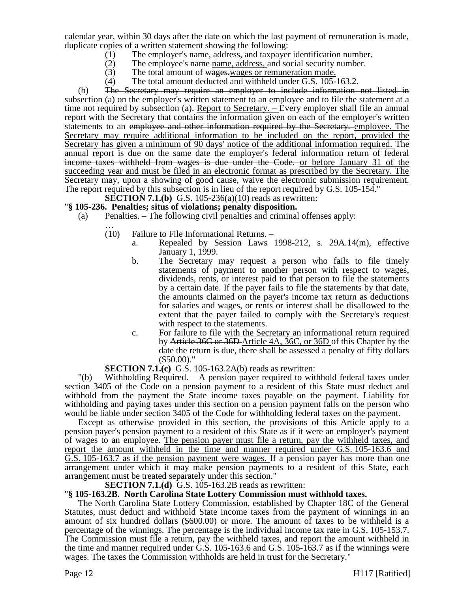calendar year, within 30 days after the date on which the last payment of remuneration is made, duplicate copies of a written statement showing the following:

- (1) The employer's name, address, and taxpayer identification number.
- (2) The employee's name-name, address, and social security number.
- $(3)$  The total amount of wages, wages or remuneration made.
- (4) The total amount deducted and withheld under G.S. 105-163.2.

(b) The Secretary may require an employer to include information not listed in subsection (a) on the employer's written statement to an employee and to file the statement at a time not required by subsection  $(a)$ . Report to Secretary.  $-$  Every employer shall file an annual report with the Secretary that contains the information given on each of the employer's written statements to an employee and other information required by the Secretary. employee. The Secretary may require additional information to be included on the report, provided the Secretary has given a minimum of 90 days' notice of the additional information required. The annual report is due on the same date the employer's federal information return of federal income taxes withheld from wages is due under the Code. or before January 31 of the succeeding year and must be filed in an electronic format as prescribed by the Secretary. The Secretary may, upon a showing of good cause, waive the electronic submission requirement. The report required by this subsection is in lieu of the report required by G.S. 105-154."

**SECTION 7.1.(b)** G.S. 105-236(a)(10) reads as rewritten:

## "**§ 105-236. Penalties; situs of violations; penalty disposition.**

- (a) Penalties. The following civil penalties and criminal offenses apply:
	- … (10) Failure to File Informational Returns. –
		- a. Repealed by Session Laws 1998-212, s. 29A.14(m), effective January 1, 1999.
		- b. The Secretary may request a person who fails to file timely statements of payment to another person with respect to wages, dividends, rents, or interest paid to that person to file the statements by a certain date. If the payer fails to file the statements by that date, the amounts claimed on the payer's income tax return as deductions for salaries and wages, or rents or interest shall be disallowed to the extent that the payer failed to comply with the Secretary's request with respect to the statements.
		- c. For failure to file with the Secretary an informational return required by Article 36C or 36D Article 4A, 36C, or 36D of this Chapter by the date the return is due, there shall be assessed a penalty of fifty dollars (\$50.00)."

### **SECTION 7.1.(c)** G.S. 105-163.2A(b) reads as rewritten:

"(b) Withholding Required. – A pension payer required to withhold federal taxes under section 3405 of the Code on a pension payment to a resident of this State must deduct and withhold from the payment the State income taxes payable on the payment. Liability for withholding and paying taxes under this section on a pension payment falls on the person who would be liable under section 3405 of the Code for withholding federal taxes on the payment.

Except as otherwise provided in this section, the provisions of this Article apply to a pension payer's pension payment to a resident of this State as if it were an employer's payment of wages to an employee. The pension payer must file a return, pay the withheld taxes, and report the amount withheld in the time and manner required under G.S. 105-163.6 and G.S. 105-163.7 as if the pension payment were wages. If a pension payer has more than one arrangement under which it may make pension payments to a resident of this State, each arrangement must be treated separately under this section."

### **SECTION 7.1.(d)** G.S. 105-163.2B reads as rewritten:

### "**§ 105-163.2B. North Carolina State Lottery Commission must withhold taxes.**

The North Carolina State Lottery Commission, established by Chapter 18C of the General Statutes, must deduct and withhold State income taxes from the payment of winnings in an amount of six hundred dollars (\$600.00) or more. The amount of taxes to be withheld is a percentage of the winnings. The percentage is the individual income tax rate in G.S. 105-153.7. The Commission must file a return, pay the withheld taxes, and report the amount withheld in the time and manner required under G.S. 105-163.6 and G.S. 105-163.7 as if the winnings were wages. The taxes the Commission withholds are held in trust for the Secretary."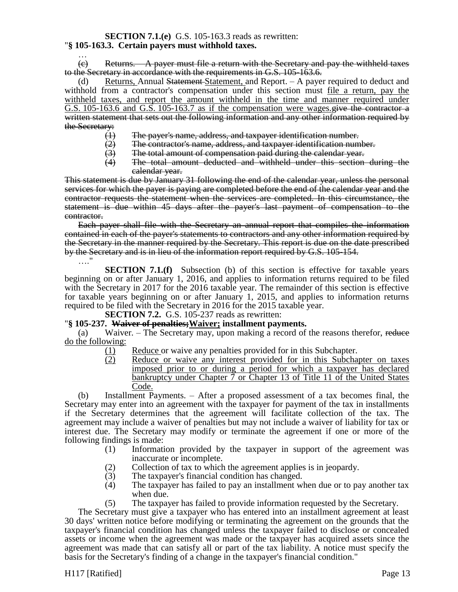#### **SECTION 7.1.(e)** G.S. 105-163.3 reads as rewritten: "**§ 105-163.3. Certain payers must withhold taxes.**

…  $(e)$  Returns. A payer must file a return with the Secretary and pay the withheld taxes to the Secretary in accordance with the requirements in G.S. 105-163.6.

(d) Returns, Annual Statement-Statement, and Report. – A payer required to deduct and withhold from a contractor's compensation under this section must file a return, pay the withheld taxes, and report the amount withheld in the time and manner required under G.S. 105-163.6 and G.S. 105-163.7 as if the compensation were wages.  $\neq$  the contractor a written statement that sets out the following information and any other information required by the Secretary:<br>(+)

- 
- (1) The payer's name, address, and taxpayer identification number.<br>(2) The contractor's name, address, and taxpayer identification num<br>(3) The total amount of compensation paid during the calendar yea The contractor's name, address, and taxpayer identification number.
- 
- $(3)$  The total amount of compensation paid during the calendar year.<br> $(4)$  The total amount deducted and withheld under this section The total amount deducted and withheld under this section during the calendar year.

This statement is due by January 31 following the end of the calendar year, unless the personal services for which the payer is paying are completed before the end of the calendar year and the contractor requests the statement when the services are completed. In this circumstance, the statement is due within 45 days after the payer's last payment of compensation to the contractor.

Each payer shall file with the Secretary an annual report that compiles the information contained in each of the payer's statements to contractors and any other information required by the Secretary in the manner required by the Secretary. This report is due on the date prescribed by the Secretary and is in lieu of the information report required by G.S. 105-154. …"

**SECTION 7.1.(f)** Subsection (b) of this section is effective for taxable years beginning on or after January 1, 2016, and applies to information returns required to be filed with the Secretary in 2017 for the 2016 taxable year. The remainder of this section is effective for taxable years beginning on or after January 1, 2015, and applies to information returns required to be filed with the Secretary in 2016 for the 2015 taxable year.

**SECTION 7.2.** G.S. 105-237 reads as rewritten:

### "**§ 105-237. Waiver of penalties;Waiver; installment payments.**

(a) Waiver. – The Secretary may, upon making a record of the reasons therefor, reduce  $\frac{dof{o}th$  following:<br> $\frac{(1)}{(2)}$ 

- Reduce or waive any penalties provided for in this Subchapter.
- Reduce or waive any interest provided for in this Subchapter on taxes imposed prior to or during a period for which a taxpayer has declared bankruptcy under Chapter 7 or Chapter 13 of Title 11 of the United States Code.

(b) Installment Payments. – After a proposed assessment of a tax becomes final, the Secretary may enter into an agreement with the taxpayer for payment of the tax in installments if the Secretary determines that the agreement will facilitate collection of the tax. The agreement may include a waiver of penalties but may not include a waiver of liability for tax or interest due. The Secretary may modify or terminate the agreement if one or more of the following findings is made:

- (1) Information provided by the taxpayer in support of the agreement was inaccurate or incomplete.
- (2) Collection of tax to which the agreement applies is in jeopardy.
- (3) The taxpayer's financial condition has changed.
- (4) The taxpayer has failed to pay an installment when due or to pay another tax when due.
- (5) The taxpayer has failed to provide information requested by the Secretary.

The Secretary must give a taxpayer who has entered into an installment agreement at least 30 days' written notice before modifying or terminating the agreement on the grounds that the taxpayer's financial condition has changed unless the taxpayer failed to disclose or concealed assets or income when the agreement was made or the taxpayer has acquired assets since the agreement was made that can satisfy all or part of the tax liability. A notice must specify the basis for the Secretary's finding of a change in the taxpayer's financial condition."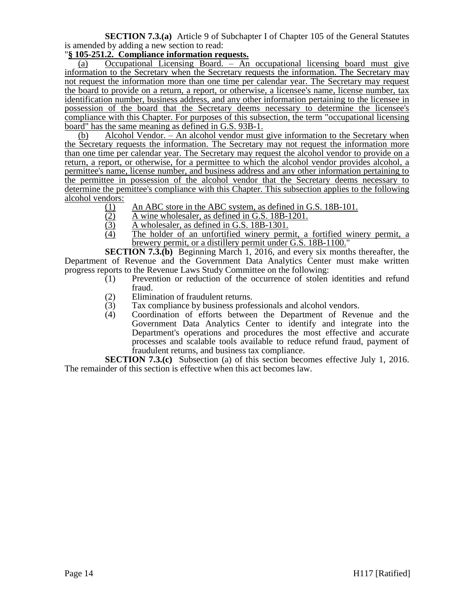**SECTION 7.3.(a)** Article 9 of Subchapter I of Chapter 105 of the General Statutes is amended by adding a new section to read:

## "**§ 105-251.2. Compliance information requests.**

(a) Occupational Licensing Board. – An occupational licensing board must give information to the Secretary when the Secretary requests the information. The Secretary may not request the information more than one time per calendar year. The Secretary may request the board to provide on a return, a report, or otherwise, a licensee's name, license number, tax identification number, business address, and any other information pertaining to the licensee in possession of the board that the Secretary deems necessary to determine the licensee's compliance with this Chapter. For purposes of this subsection, the term "occupational licensing board" has the same meaning as defined in G.S. 93B-1.

(b) Alcohol Vendor. – An alcohol vendor must give information to the Secretary when the Secretary requests the information. The Secretary may not request the information more than one time per calendar year. The Secretary may request the alcohol vendor to provide on a return, a report, or otherwise, for a permittee to which the alcohol vendor provides alcohol, a permittee's name, license number, and business address and any other information pertaining to the permittee in possession of the alcohol vendor that the Secretary deems necessary to determine the pemittee's compliance with this Chapter. This subsection applies to the following alcohol vendors:

- (1) An ABC store in the ABC system, as defined in G.S. 18B-101.<br>(2) A wine wholesaler, as defined in G.S. 18B-1201.
- $\frac{(2)}{(3)}$  A wine wholesaler, as defined in G.S. 18B-1201.<br>A wholesaler, as defined in G.S. 18B-1301.
- $\frac{(3)}{(4)}$  A wholesaler, as defined in G.S. 18B-1301.<br>The holder of an unfortified winery perm
- The holder of an unfortified winery permit, a fortified winery permit, a brewery permit, or a distillery permit under G.S. 18B-1100."

**SECTION 7.3.(b)** Beginning March 1, 2016, and every six months thereafter, the Department of Revenue and the Government Data Analytics Center must make written progress reports to the Revenue Laws Study Committee on the following:

- (1) Prevention or reduction of the occurrence of stolen identities and refund fraud.
- (2) Elimination of fraudulent returns.
- (3) Tax compliance by business professionals and alcohol vendors.<br>
(4) Coordination of efforts between the Department of Rever
- Coordination of efforts between the Department of Revenue and the Government Data Analytics Center to identify and integrate into the Department's operations and procedures the most effective and accurate processes and scalable tools available to reduce refund fraud, payment of fraudulent returns, and business tax compliance.

**SECTION 7.3.(c)** Subsection (a) of this section becomes effective July 1, 2016. The remainder of this section is effective when this act becomes law.